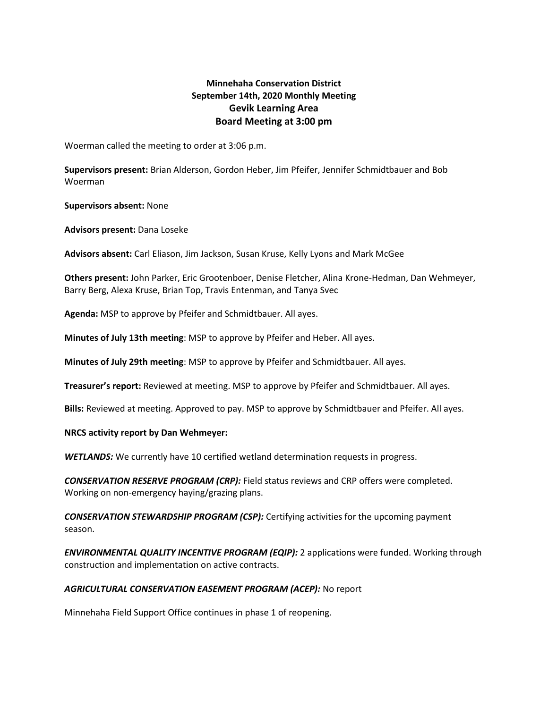# **Minnehaha Conservation District September 14th, 2020 Monthly Meeting Gevik Learning Area Board Meeting at 3:00 pm**

Woerman called the meeting to order at 3:06 p.m.

**Supervisors present:** Brian Alderson, Gordon Heber, Jim Pfeifer, Jennifer Schmidtbauer and Bob Woerman

**Supervisors absent:** None

**Advisors present:** Dana Loseke

**Advisors absent:** Carl Eliason, Jim Jackson, Susan Kruse, Kelly Lyons and Mark McGee

**Others present:** John Parker, Eric Grootenboer, Denise Fletcher, Alina Krone-Hedman, Dan Wehmeyer, Barry Berg, Alexa Kruse, Brian Top, Travis Entenman, and Tanya Svec

**Agenda:** MSP to approve by Pfeifer and Schmidtbauer. All ayes.

**Minutes of July 13th meeting**: MSP to approve by Pfeifer and Heber. All ayes.

**Minutes of July 29th meeting**: MSP to approve by Pfeifer and Schmidtbauer. All ayes.

**Treasurer's report:** Reviewed at meeting. MSP to approve by Pfeifer and Schmidtbauer. All ayes.

**Bills:** Reviewed at meeting. Approved to pay. MSP to approve by Schmidtbauer and Pfeifer. All ayes.

**NRCS activity report by Dan Wehmeyer:**

*WETLANDS:* We currently have 10 certified wetland determination requests in progress.

*CONSERVATION RESERVE PROGRAM (CRP):* Field status reviews and CRP offers were completed. Working on non-emergency haying/grazing plans.

*CONSERVATION STEWARDSHIP PROGRAM (CSP):* Certifying activities for the upcoming payment season.

*ENVIRONMENTAL QUALITY INCENTIVE PROGRAM (EQIP):* 2 applications were funded. Working through construction and implementation on active contracts.

### *AGRICULTURAL CONSERVATION EASEMENT PROGRAM (ACEP):* No report

Minnehaha Field Support Office continues in phase 1 of reopening.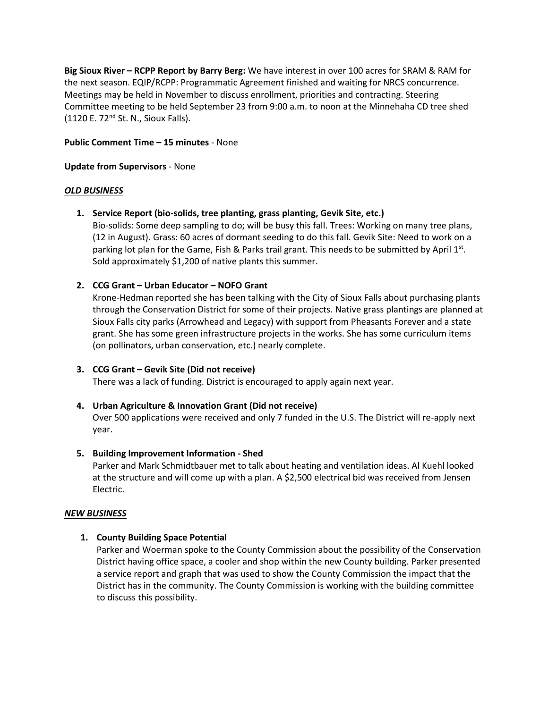**Big Sioux River – RCPP Report by Barry Berg:** We have interest in over 100 acres for SRAM & RAM for the next season. EQIP/RCPP: Programmatic Agreement finished and waiting for NRCS concurrence. Meetings may be held in November to discuss enrollment, priorities and contracting. Steering Committee meeting to be held September 23 from 9:00 a.m. to noon at the Minnehaha CD tree shed  $(1120 \text{ E. } 72^{\text{nd}} \text{ St. } N.,$  Sioux Falls).

### **Public Comment Time – 15 minutes** - None

#### **Update from Supervisors** - None

#### *OLD BUSINESS*

**1. Service Report (bio-solids, tree planting, grass planting, Gevik Site, etc.)**

Bio-solids: Some deep sampling to do; will be busy this fall. Trees: Working on many tree plans, (12 in August). Grass: 60 acres of dormant seeding to do this fall. Gevik Site: Need to work on a parking lot plan for the Game, Fish & Parks trail grant. This needs to be submitted by April  $1<sup>st</sup>$ . Sold approximately \$1,200 of native plants this summer.

### **2. CCG Grant – Urban Educator – NOFO Grant**

Krone-Hedman reported she has been talking with the City of Sioux Falls about purchasing plants through the Conservation District for some of their projects. Native grass plantings are planned at Sioux Falls city parks (Arrowhead and Legacy) with support from Pheasants Forever and a state grant. She has some green infrastructure projects in the works. She has some curriculum items (on pollinators, urban conservation, etc.) nearly complete.

### **3. CCG Grant – Gevik Site (Did not receive)**

There was a lack of funding. District is encouraged to apply again next year.

### **4. Urban Agriculture & Innovation Grant (Did not receive)**

Over 500 applications were received and only 7 funded in the U.S. The District will re-apply next year.

### **5. Building Improvement Information - Shed**

Parker and Mark Schmidtbauer met to talk about heating and ventilation ideas. Al Kuehl looked at the structure and will come up with a plan. A \$2,500 electrical bid was received from Jensen Electric.

### *NEW BUSINESS*

### **1. County Building Space Potential**

Parker and Woerman spoke to the County Commission about the possibility of the Conservation District having office space, a cooler and shop within the new County building. Parker presented a service report and graph that was used to show the County Commission the impact that the District has in the community. The County Commission is working with the building committee to discuss this possibility.